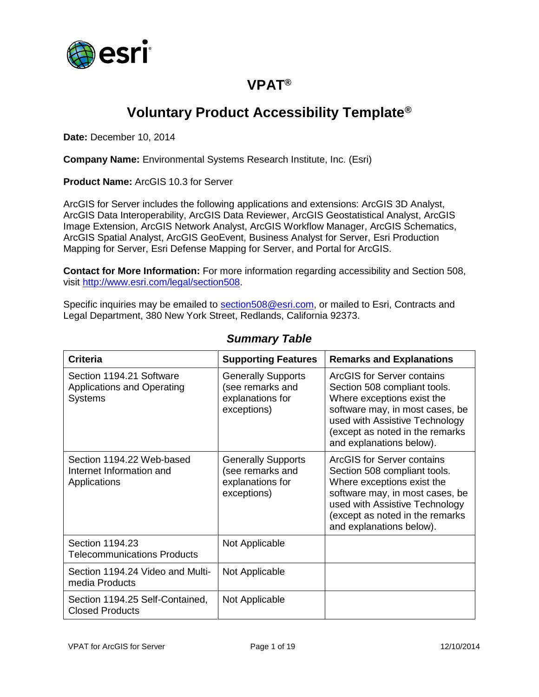

## **VPAT®**

# **Voluntary Product Accessibility Template®**

**Date:** December 10, 2014

**Company Name:** Environmental Systems Research Institute, Inc. (Esri)

**Product Name:** ArcGIS 10.3 for Server

ArcGIS for Server includes the following applications and extensions: ArcGIS 3D Analyst, ArcGIS Data Interoperability, ArcGIS Data Reviewer, ArcGIS Geostatistical Analyst, ArcGIS Image Extension, ArcGIS Network Analyst, ArcGIS Workflow Manager, ArcGIS Schematics, ArcGIS Spatial Analyst, ArcGIS GeoEvent, Business Analyst for Server, Esri Production Mapping for Server, Esri Defense Mapping for Server, and Portal for ArcGIS.

**Contact for More Information:** For more information regarding accessibility and Section 508, visit [http://www.esri.com/legal/section508.](http://www.esri.com/legal/section508)

Specific inquiries may be emailed to [section508@esri.com,](mailto:section508@esri.com) or mailed to Esri, Contracts and Legal Department, 380 New York Street, Redlands, California 92373.

| <b>Criteria</b>                                                                 | <b>Supporting Features</b>                                                       | <b>Remarks and Explanations</b>                                                                                                                                                                                                     |
|---------------------------------------------------------------------------------|----------------------------------------------------------------------------------|-------------------------------------------------------------------------------------------------------------------------------------------------------------------------------------------------------------------------------------|
| Section 1194.21 Software<br><b>Applications and Operating</b><br><b>Systems</b> | <b>Generally Supports</b><br>(see remarks and<br>explanations for<br>exceptions) | ArcGIS for Server contains<br>Section 508 compliant tools.<br>Where exceptions exist the<br>software may, in most cases, be<br>used with Assistive Technology<br>(except as noted in the remarks<br>and explanations below).        |
| Section 1194.22 Web-based<br>Internet Information and<br>Applications           | <b>Generally Supports</b><br>(see remarks and<br>explanations for<br>exceptions) | <b>ArcGIS for Server contains</b><br>Section 508 compliant tools.<br>Where exceptions exist the<br>software may, in most cases, be<br>used with Assistive Technology<br>(except as noted in the remarks<br>and explanations below). |
| Section 1194.23<br><b>Telecommunications Products</b>                           | Not Applicable                                                                   |                                                                                                                                                                                                                                     |
| Section 1194.24 Video and Multi-<br>media Products                              | Not Applicable                                                                   |                                                                                                                                                                                                                                     |
| Section 1194.25 Self-Contained,<br><b>Closed Products</b>                       | Not Applicable                                                                   |                                                                                                                                                                                                                                     |

#### *Summary Table*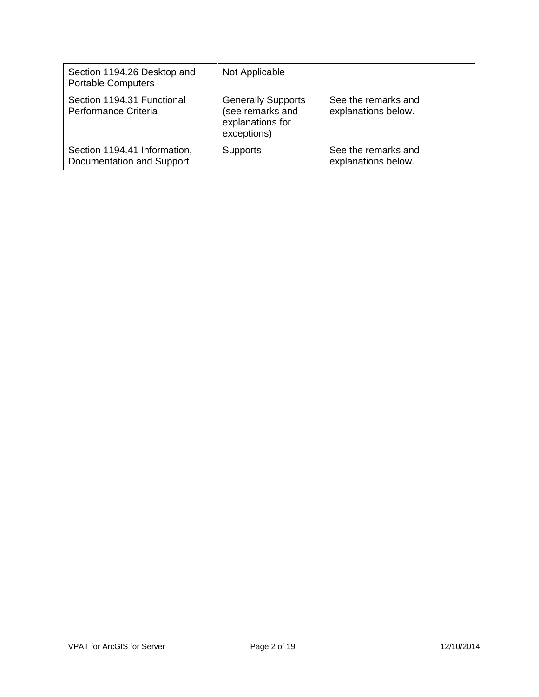| Section 1194.26 Desktop and<br><b>Portable Computers</b>  | Not Applicable                                                                   |                                            |
|-----------------------------------------------------------|----------------------------------------------------------------------------------|--------------------------------------------|
| Section 1194.31 Functional<br>Performance Criteria        | <b>Generally Supports</b><br>(see remarks and<br>explanations for<br>exceptions) | See the remarks and<br>explanations below. |
| Section 1194.41 Information,<br>Documentation and Support | <b>Supports</b>                                                                  | See the remarks and<br>explanations below. |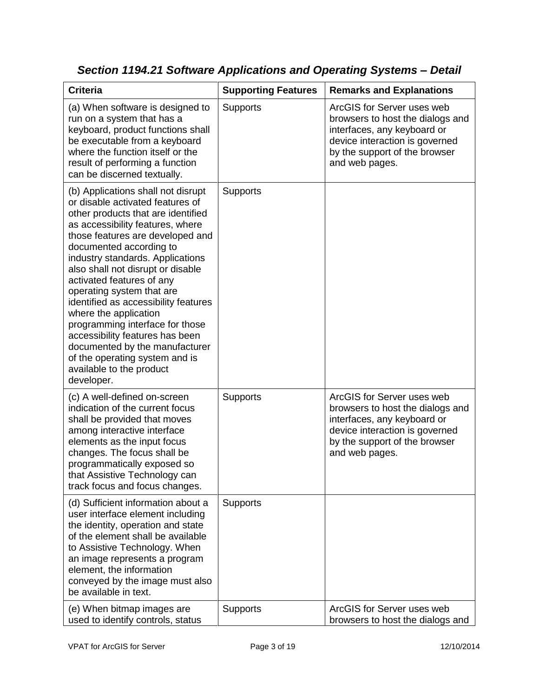| <b>Criteria</b>                                                                                                                                                                                                                                                                                                                                                                                                                                                                                                                                                                                         | <b>Supporting Features</b> | <b>Remarks and Explanations</b>                                                                                                                                                    |
|---------------------------------------------------------------------------------------------------------------------------------------------------------------------------------------------------------------------------------------------------------------------------------------------------------------------------------------------------------------------------------------------------------------------------------------------------------------------------------------------------------------------------------------------------------------------------------------------------------|----------------------------|------------------------------------------------------------------------------------------------------------------------------------------------------------------------------------|
| (a) When software is designed to<br>run on a system that has a<br>keyboard, product functions shall<br>be executable from a keyboard<br>where the function itself or the<br>result of performing a function<br>can be discerned textually.                                                                                                                                                                                                                                                                                                                                                              | <b>Supports</b>            | ArcGIS for Server uses web<br>browsers to host the dialogs and<br>interfaces, any keyboard or<br>device interaction is governed<br>by the support of the browser<br>and web pages. |
| (b) Applications shall not disrupt<br>or disable activated features of<br>other products that are identified<br>as accessibility features, where<br>those features are developed and<br>documented according to<br>industry standards. Applications<br>also shall not disrupt or disable<br>activated features of any<br>operating system that are<br>identified as accessibility features<br>where the application<br>programming interface for those<br>accessibility features has been<br>documented by the manufacturer<br>of the operating system and is<br>available to the product<br>developer. | <b>Supports</b>            |                                                                                                                                                                                    |
| (c) A well-defined on-screen<br>indication of the current focus<br>shall be provided that moves<br>among interactive interface<br>elements as the input focus<br>changes. The focus shall be<br>programmatically exposed so<br>that Assistive Technology can<br>track focus and focus changes.                                                                                                                                                                                                                                                                                                          | Supports                   | ArcGIS for Server uses web<br>browsers to host the dialogs and<br>interfaces, any keyboard or<br>device interaction is governed<br>by the support of the browser<br>and web pages. |
| (d) Sufficient information about a<br>user interface element including<br>the identity, operation and state<br>of the element shall be available<br>to Assistive Technology. When<br>an image represents a program<br>element, the information<br>conveyed by the image must also<br>be available in text.                                                                                                                                                                                                                                                                                              | <b>Supports</b>            |                                                                                                                                                                                    |
| (e) When bitmap images are<br>used to identify controls, status                                                                                                                                                                                                                                                                                                                                                                                                                                                                                                                                         | <b>Supports</b>            | ArcGIS for Server uses web<br>browsers to host the dialogs and                                                                                                                     |

*Section 1194.21 Software Applications and Operating Systems – Detail*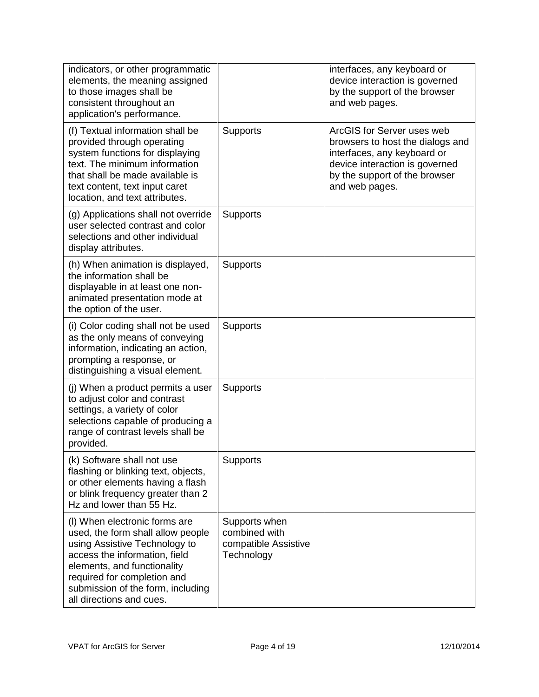| indicators, or other programmatic<br>elements, the meaning assigned<br>to those images shall be<br>consistent throughout an<br>application's performance.                                                                                                           |                                                                      | interfaces, any keyboard or<br>device interaction is governed<br>by the support of the browser<br>and web pages.                                                                   |
|---------------------------------------------------------------------------------------------------------------------------------------------------------------------------------------------------------------------------------------------------------------------|----------------------------------------------------------------------|------------------------------------------------------------------------------------------------------------------------------------------------------------------------------------|
| (f) Textual information shall be<br>provided through operating<br>system functions for displaying<br>text. The minimum information<br>that shall be made available is<br>text content, text input caret<br>location, and text attributes.                           | <b>Supports</b>                                                      | ArcGIS for Server uses web<br>browsers to host the dialogs and<br>interfaces, any keyboard or<br>device interaction is governed<br>by the support of the browser<br>and web pages. |
| (g) Applications shall not override<br>user selected contrast and color<br>selections and other individual<br>display attributes.                                                                                                                                   | Supports                                                             |                                                                                                                                                                                    |
| (h) When animation is displayed,<br>the information shall be<br>displayable in at least one non-<br>animated presentation mode at<br>the option of the user.                                                                                                        | <b>Supports</b>                                                      |                                                                                                                                                                                    |
| (i) Color coding shall not be used<br>as the only means of conveying<br>information, indicating an action,<br>prompting a response, or<br>distinguishing a visual element.                                                                                          | <b>Supports</b>                                                      |                                                                                                                                                                                    |
| (j) When a product permits a user<br>to adjust color and contrast<br>settings, a variety of color<br>selections capable of producing a<br>range of contrast levels shall be<br>provided.                                                                            | <b>Supports</b>                                                      |                                                                                                                                                                                    |
| (k) Software shall not use<br>flashing or blinking text, objects,<br>or other elements having a flash<br>or blink frequency greater than 2<br>Hz and lower than 55 Hz.                                                                                              | Supports                                                             |                                                                                                                                                                                    |
| (I) When electronic forms are<br>used, the form shall allow people<br>using Assistive Technology to<br>access the information, field<br>elements, and functionality<br>required for completion and<br>submission of the form, including<br>all directions and cues. | Supports when<br>combined with<br>compatible Assistive<br>Technology |                                                                                                                                                                                    |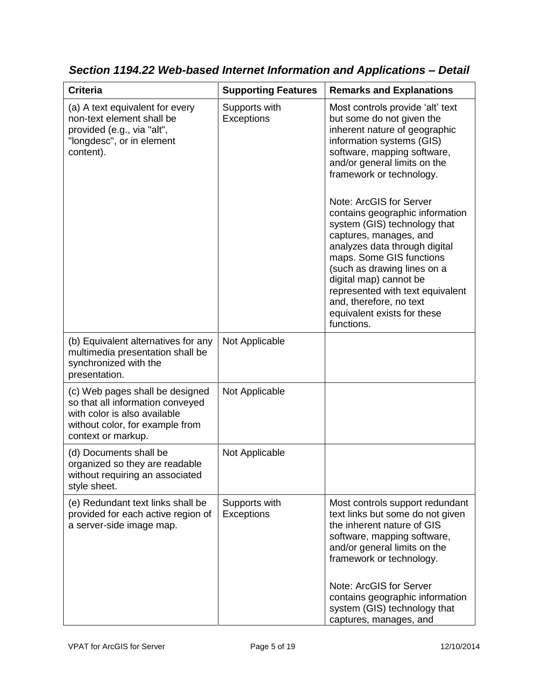| <b>Criteria</b>                                                                                                                                              | <b>Supporting Features</b>         | <b>Remarks and Explanations</b>                                                                                                                                                                                                                                                                                                                                                                                                                                                                                                                                                  |
|--------------------------------------------------------------------------------------------------------------------------------------------------------------|------------------------------------|----------------------------------------------------------------------------------------------------------------------------------------------------------------------------------------------------------------------------------------------------------------------------------------------------------------------------------------------------------------------------------------------------------------------------------------------------------------------------------------------------------------------------------------------------------------------------------|
| (a) A text equivalent for every<br>non-text element shall be<br>provided (e.g., via "alt",<br>"longdesc", or in element<br>content).                         | Supports with<br><b>Exceptions</b> | Most controls provide 'alt' text<br>but some do not given the<br>inherent nature of geographic<br>information systems (GIS)<br>software, mapping software,<br>and/or general limits on the<br>framework or technology.<br>Note: ArcGIS for Server<br>contains geographic information<br>system (GIS) technology that<br>captures, manages, and<br>analyzes data through digital<br>maps. Some GIS functions<br>(such as drawing lines on a<br>digital map) cannot be<br>represented with text equivalent<br>and, therefore, no text<br>equivalent exists for these<br>functions. |
| (b) Equivalent alternatives for any<br>multimedia presentation shall be<br>synchronized with the<br>presentation.                                            | Not Applicable                     |                                                                                                                                                                                                                                                                                                                                                                                                                                                                                                                                                                                  |
| (c) Web pages shall be designed<br>so that all information conveyed<br>with color is also available<br>without color, for example from<br>context or markup. | Not Applicable                     |                                                                                                                                                                                                                                                                                                                                                                                                                                                                                                                                                                                  |
| (d) Documents shall be<br>organized so they are readable<br>without requiring an associated<br>style sheet.                                                  | Not Applicable                     |                                                                                                                                                                                                                                                                                                                                                                                                                                                                                                                                                                                  |
| (e) Redundant text links shall be<br>provided for each active region of<br>a server-side image map.                                                          | Supports with<br><b>Exceptions</b> | Most controls support redundant<br>text links but some do not given<br>the inherent nature of GIS<br>software, mapping software,<br>and/or general limits on the<br>framework or technology.<br>Note: ArcGIS for Server<br>contains geographic information<br>system (GIS) technology that<br>captures, manages, and                                                                                                                                                                                                                                                             |

*Section 1194.22 Web-based Internet Information and Applications – Detail*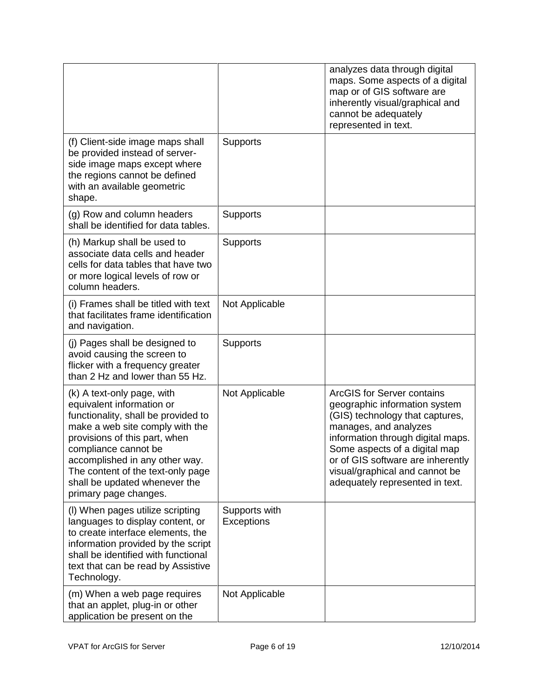|                                                                                                                                                                                                                                                                                                                             |                                    | analyzes data through digital<br>maps. Some aspects of a digital<br>map or of GIS software are<br>inherently visual/graphical and<br>cannot be adequately<br>represented in text.                                                                                                                              |
|-----------------------------------------------------------------------------------------------------------------------------------------------------------------------------------------------------------------------------------------------------------------------------------------------------------------------------|------------------------------------|----------------------------------------------------------------------------------------------------------------------------------------------------------------------------------------------------------------------------------------------------------------------------------------------------------------|
| (f) Client-side image maps shall<br>be provided instead of server-<br>side image maps except where<br>the regions cannot be defined<br>with an available geometric<br>shape.                                                                                                                                                | Supports                           |                                                                                                                                                                                                                                                                                                                |
| (g) Row and column headers<br>shall be identified for data tables.                                                                                                                                                                                                                                                          | Supports                           |                                                                                                                                                                                                                                                                                                                |
| (h) Markup shall be used to<br>associate data cells and header<br>cells for data tables that have two<br>or more logical levels of row or<br>column headers.                                                                                                                                                                | <b>Supports</b>                    |                                                                                                                                                                                                                                                                                                                |
| (i) Frames shall be titled with text<br>that facilitates frame identification<br>and navigation.                                                                                                                                                                                                                            | Not Applicable                     |                                                                                                                                                                                                                                                                                                                |
| (j) Pages shall be designed to<br>avoid causing the screen to<br>flicker with a frequency greater<br>than 2 Hz and lower than 55 Hz.                                                                                                                                                                                        | <b>Supports</b>                    |                                                                                                                                                                                                                                                                                                                |
| (k) A text-only page, with<br>equivalent information or<br>functionality, shall be provided to<br>make a web site comply with the<br>provisions of this part, when<br>compliance cannot be<br>accomplished in any other way.<br>The content of the text-only page<br>shall be updated whenever the<br>primary page changes. | Not Applicable                     | <b>ArcGIS for Server contains</b><br>geographic information system<br>(GIS) technology that captures,<br>manages, and analyzes<br>information through digital maps.<br>Some aspects of a digital map<br>or of GIS software are inherently<br>visual/graphical and cannot be<br>adequately represented in text. |
| (I) When pages utilize scripting<br>languages to display content, or<br>to create interface elements, the<br>information provided by the script<br>shall be identified with functional<br>text that can be read by Assistive<br>Technology.                                                                                 | Supports with<br><b>Exceptions</b> |                                                                                                                                                                                                                                                                                                                |
| (m) When a web page requires<br>that an applet, plug-in or other<br>application be present on the                                                                                                                                                                                                                           | Not Applicable                     |                                                                                                                                                                                                                                                                                                                |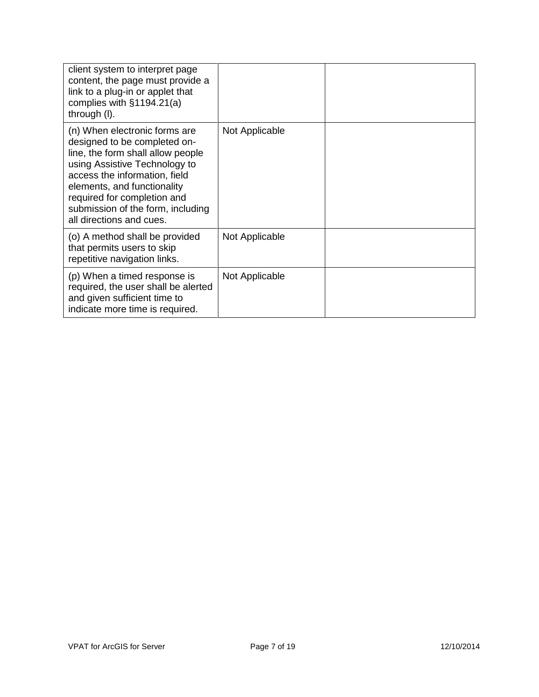| client system to interpret page<br>content, the page must provide a<br>link to a plug-in or applet that<br>complies with $§1194.21(a)$<br>through (I).                                                                                                                                              |                |  |
|-----------------------------------------------------------------------------------------------------------------------------------------------------------------------------------------------------------------------------------------------------------------------------------------------------|----------------|--|
| (n) When electronic forms are<br>designed to be completed on-<br>line, the form shall allow people<br>using Assistive Technology to<br>access the information, field<br>elements, and functionality<br>required for completion and<br>submission of the form, including<br>all directions and cues. | Not Applicable |  |
| (o) A method shall be provided<br>that permits users to skip<br>repetitive navigation links.                                                                                                                                                                                                        | Not Applicable |  |
| (p) When a timed response is<br>required, the user shall be alerted<br>and given sufficient time to<br>indicate more time is required.                                                                                                                                                              | Not Applicable |  |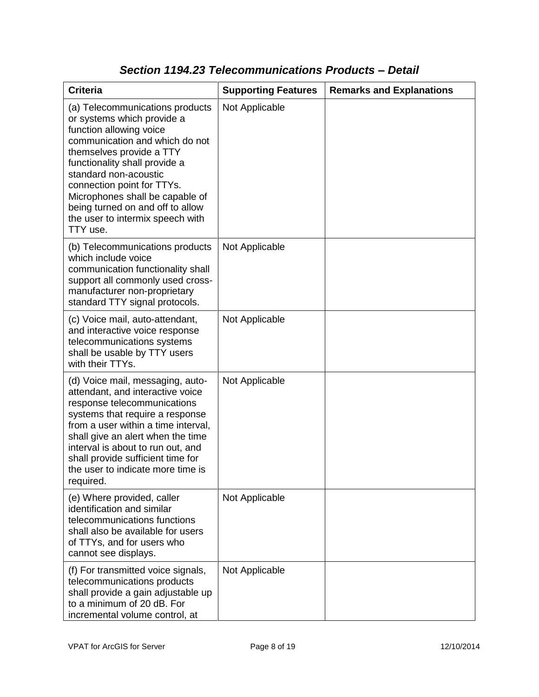| <b>Criteria</b>                                                                                                                                                                                                                                                                                                                                                       | <b>Supporting Features</b> | <b>Remarks and Explanations</b> |
|-----------------------------------------------------------------------------------------------------------------------------------------------------------------------------------------------------------------------------------------------------------------------------------------------------------------------------------------------------------------------|----------------------------|---------------------------------|
| (a) Telecommunications products<br>or systems which provide a<br>function allowing voice<br>communication and which do not<br>themselves provide a TTY<br>functionality shall provide a<br>standard non-acoustic<br>connection point for TTYs.<br>Microphones shall be capable of<br>being turned on and off to allow<br>the user to intermix speech with<br>TTY use. | Not Applicable             |                                 |
| (b) Telecommunications products<br>which include voice<br>communication functionality shall<br>support all commonly used cross-<br>manufacturer non-proprietary<br>standard TTY signal protocols.                                                                                                                                                                     | Not Applicable             |                                 |
| (c) Voice mail, auto-attendant,<br>and interactive voice response<br>telecommunications systems<br>shall be usable by TTY users<br>with their TTYs.                                                                                                                                                                                                                   | Not Applicable             |                                 |
| (d) Voice mail, messaging, auto-<br>attendant, and interactive voice<br>response telecommunications<br>systems that require a response<br>from a user within a time interval,<br>shall give an alert when the time<br>interval is about to run out, and<br>shall provide sufficient time for<br>the user to indicate more time is<br>required.                        | Not Applicable             |                                 |
| (e) Where provided, caller<br>identification and similar<br>telecommunications functions<br>shall also be available for users<br>of TTYs, and for users who<br>cannot see displays.                                                                                                                                                                                   | Not Applicable             |                                 |
| (f) For transmitted voice signals,<br>telecommunications products<br>shall provide a gain adjustable up<br>to a minimum of 20 dB. For<br>incremental volume control, at                                                                                                                                                                                               | Not Applicable             |                                 |

### *Section 1194.23 Telecommunications Products – Detail*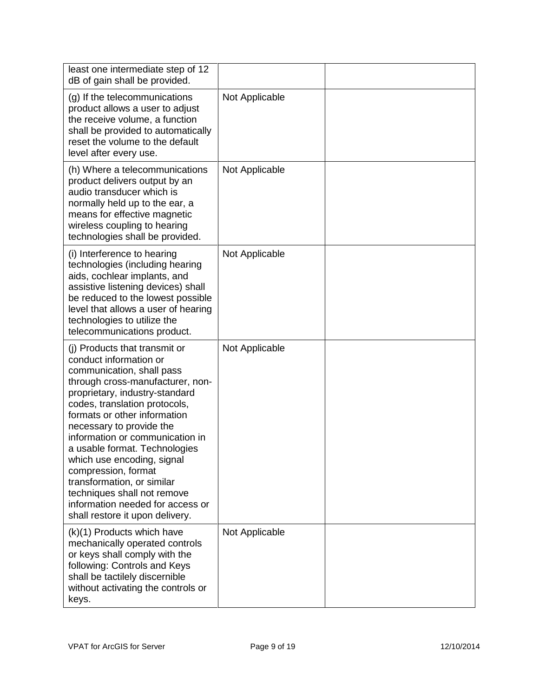| least one intermediate step of 12<br>dB of gain shall be provided.                                                                                                                                                                                                                                                                                                                                                                                                                                                   |                |  |
|----------------------------------------------------------------------------------------------------------------------------------------------------------------------------------------------------------------------------------------------------------------------------------------------------------------------------------------------------------------------------------------------------------------------------------------------------------------------------------------------------------------------|----------------|--|
| (g) If the telecommunications<br>product allows a user to adjust<br>the receive volume, a function<br>shall be provided to automatically<br>reset the volume to the default<br>level after every use.                                                                                                                                                                                                                                                                                                                | Not Applicable |  |
| (h) Where a telecommunications<br>product delivers output by an<br>audio transducer which is<br>normally held up to the ear, a<br>means for effective magnetic<br>wireless coupling to hearing<br>technologies shall be provided.                                                                                                                                                                                                                                                                                    | Not Applicable |  |
| (i) Interference to hearing<br>technologies (including hearing<br>aids, cochlear implants, and<br>assistive listening devices) shall<br>be reduced to the lowest possible<br>level that allows a user of hearing<br>technologies to utilize the<br>telecommunications product.                                                                                                                                                                                                                                       | Not Applicable |  |
| (i) Products that transmit or<br>conduct information or<br>communication, shall pass<br>through cross-manufacturer, non-<br>proprietary, industry-standard<br>codes, translation protocols,<br>formats or other information<br>necessary to provide the<br>information or communication in<br>a usable format. Technologies<br>which use encoding, signal<br>compression, format<br>transformation, or similar<br>techniques shall not remove<br>information needed for access or<br>shall restore it upon delivery. | Not Applicable |  |
| (k)(1) Products which have<br>mechanically operated controls<br>or keys shall comply with the<br>following: Controls and Keys<br>shall be tactilely discernible<br>without activating the controls or<br>keys.                                                                                                                                                                                                                                                                                                       | Not Applicable |  |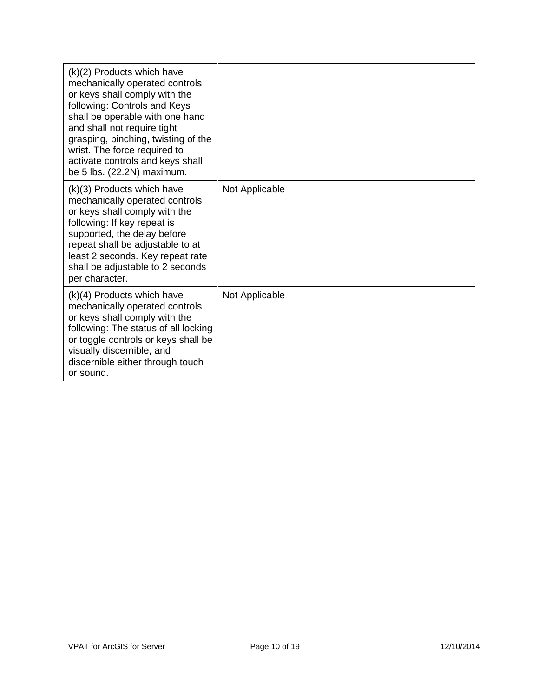| $(k)(2)$ Products which have<br>mechanically operated controls<br>or keys shall comply with the<br>following: Controls and Keys<br>shall be operable with one hand<br>and shall not require tight<br>grasping, pinching, twisting of the<br>wrist. The force required to<br>activate controls and keys shall<br>be 5 lbs. (22.2N) maximum. |                |  |
|--------------------------------------------------------------------------------------------------------------------------------------------------------------------------------------------------------------------------------------------------------------------------------------------------------------------------------------------|----------------|--|
| (k)(3) Products which have<br>mechanically operated controls<br>or keys shall comply with the<br>following: If key repeat is<br>supported, the delay before<br>repeat shall be adjustable to at<br>least 2 seconds. Key repeat rate<br>shall be adjustable to 2 seconds<br>per character.                                                  | Not Applicable |  |
| $(k)(4)$ Products which have<br>mechanically operated controls<br>or keys shall comply with the<br>following: The status of all locking<br>or toggle controls or keys shall be<br>visually discernible, and<br>discernible either through touch<br>or sound.                                                                               | Not Applicable |  |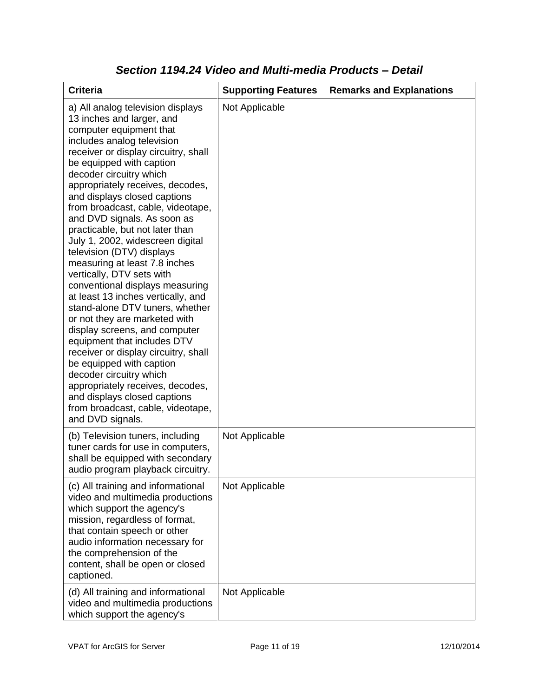| <b>Criteria</b>                                                                                                                                                                                                                                                                                                                                                                                                                                                                                                                                                                                                                                                                                                                                                                                                                                                                                                                                                           | <b>Supporting Features</b> | <b>Remarks and Explanations</b> |
|---------------------------------------------------------------------------------------------------------------------------------------------------------------------------------------------------------------------------------------------------------------------------------------------------------------------------------------------------------------------------------------------------------------------------------------------------------------------------------------------------------------------------------------------------------------------------------------------------------------------------------------------------------------------------------------------------------------------------------------------------------------------------------------------------------------------------------------------------------------------------------------------------------------------------------------------------------------------------|----------------------------|---------------------------------|
| a) All analog television displays<br>13 inches and larger, and<br>computer equipment that<br>includes analog television<br>receiver or display circuitry, shall<br>be equipped with caption<br>decoder circuitry which<br>appropriately receives, decodes,<br>and displays closed captions<br>from broadcast, cable, videotape,<br>and DVD signals. As soon as<br>practicable, but not later than<br>July 1, 2002, widescreen digital<br>television (DTV) displays<br>measuring at least 7.8 inches<br>vertically, DTV sets with<br>conventional displays measuring<br>at least 13 inches vertically, and<br>stand-alone DTV tuners, whether<br>or not they are marketed with<br>display screens, and computer<br>equipment that includes DTV<br>receiver or display circuitry, shall<br>be equipped with caption<br>decoder circuitry which<br>appropriately receives, decodes,<br>and displays closed captions<br>from broadcast, cable, videotape,<br>and DVD signals. | Not Applicable             |                                 |
| (b) Television tuners, including<br>tuner cards for use in computers,<br>shall be equipped with secondary<br>audio program playback circuitry.                                                                                                                                                                                                                                                                                                                                                                                                                                                                                                                                                                                                                                                                                                                                                                                                                            | Not Applicable             |                                 |
| (c) All training and informational<br>video and multimedia productions<br>which support the agency's<br>mission, regardless of format,<br>that contain speech or other<br>audio information necessary for<br>the comprehension of the<br>content, shall be open or closed<br>captioned.                                                                                                                                                                                                                                                                                                                                                                                                                                                                                                                                                                                                                                                                                   | Not Applicable             |                                 |
| (d) All training and informational<br>video and multimedia productions<br>which support the agency's                                                                                                                                                                                                                                                                                                                                                                                                                                                                                                                                                                                                                                                                                                                                                                                                                                                                      | Not Applicable             |                                 |

### *Section 1194.24 Video and Multi-media Products – Detail*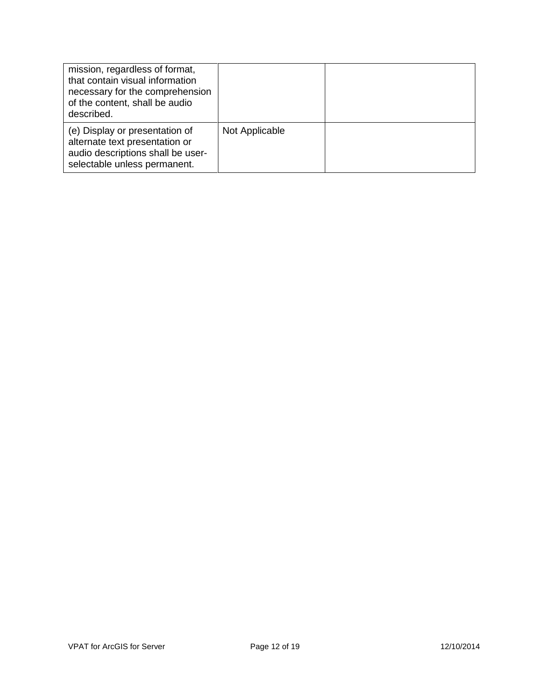| mission, regardless of format,<br>that contain visual information<br>necessary for the comprehension<br>of the content, shall be audio<br>described. |                |  |
|------------------------------------------------------------------------------------------------------------------------------------------------------|----------------|--|
| (e) Display or presentation of<br>alternate text presentation or<br>audio descriptions shall be user-<br>selectable unless permanent.                | Not Applicable |  |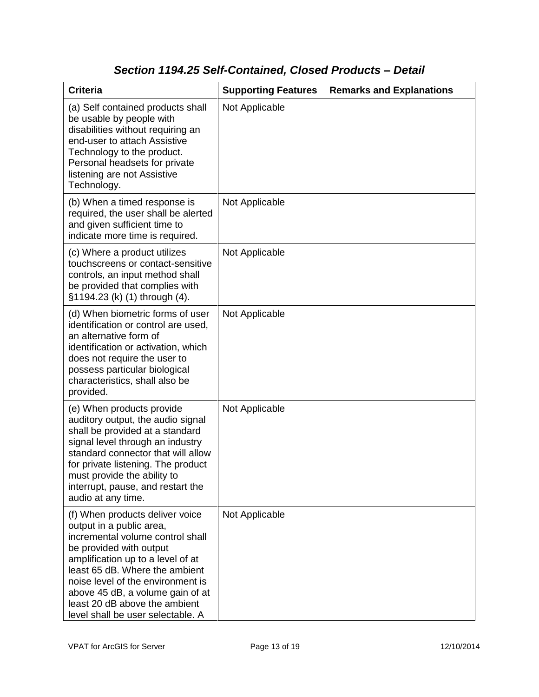### *Section 1194.25 Self-Contained, Closed Products – Detail*

| <b>Criteria</b>                                                                                                                                                                                                                                                                                                                                  | <b>Supporting Features</b> | <b>Remarks and Explanations</b> |
|--------------------------------------------------------------------------------------------------------------------------------------------------------------------------------------------------------------------------------------------------------------------------------------------------------------------------------------------------|----------------------------|---------------------------------|
| (a) Self contained products shall<br>be usable by people with<br>disabilities without requiring an<br>end-user to attach Assistive<br>Technology to the product.<br>Personal headsets for private<br>listening are not Assistive<br>Technology.                                                                                                  | Not Applicable             |                                 |
| (b) When a timed response is<br>required, the user shall be alerted<br>and given sufficient time to<br>indicate more time is required.                                                                                                                                                                                                           | Not Applicable             |                                 |
| (c) Where a product utilizes<br>touchscreens or contact-sensitive<br>controls, an input method shall<br>be provided that complies with<br>§1194.23 (k) (1) through (4).                                                                                                                                                                          | Not Applicable             |                                 |
| (d) When biometric forms of user<br>identification or control are used,<br>an alternative form of<br>identification or activation, which<br>does not require the user to<br>possess particular biological<br>characteristics, shall also be<br>provided.                                                                                         | Not Applicable             |                                 |
| (e) When products provide<br>auditory output, the audio signal<br>shall be provided at a standard<br>signal level through an industry<br>standard connector that will allow<br>for private listening. The product<br>must provide the ability to<br>interrupt, pause, and restart the<br>audio at any time.                                      | Not Applicable             |                                 |
| (f) When products deliver voice<br>output in a public area,<br>incremental volume control shall<br>be provided with output<br>amplification up to a level of at<br>least 65 dB. Where the ambient<br>noise level of the environment is<br>above 45 dB, a volume gain of at<br>least 20 dB above the ambient<br>level shall be user selectable. A | Not Applicable             |                                 |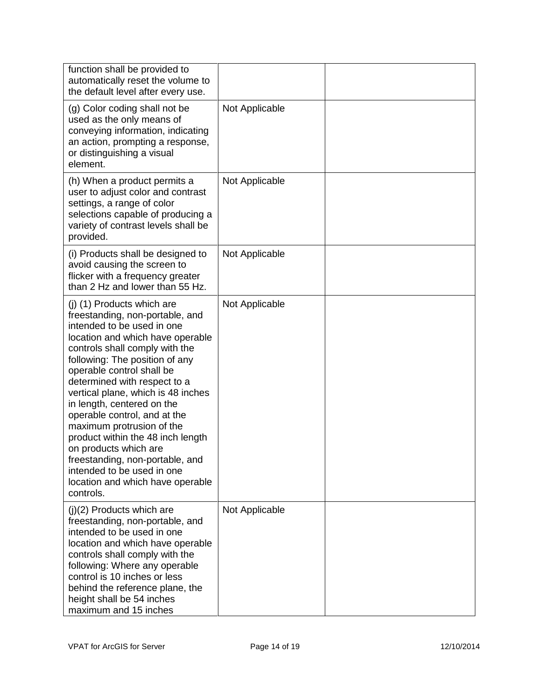| function shall be provided to<br>automatically reset the volume to<br>the default level after every use.                                                                                                                                                                                                                                                                                                                                                                                                                                                                          |                |  |
|-----------------------------------------------------------------------------------------------------------------------------------------------------------------------------------------------------------------------------------------------------------------------------------------------------------------------------------------------------------------------------------------------------------------------------------------------------------------------------------------------------------------------------------------------------------------------------------|----------------|--|
| (g) Color coding shall not be<br>used as the only means of<br>conveying information, indicating<br>an action, prompting a response,<br>or distinguishing a visual<br>element.                                                                                                                                                                                                                                                                                                                                                                                                     | Not Applicable |  |
| (h) When a product permits a<br>user to adjust color and contrast<br>settings, a range of color<br>selections capable of producing a<br>variety of contrast levels shall be<br>provided.                                                                                                                                                                                                                                                                                                                                                                                          | Not Applicable |  |
| (i) Products shall be designed to<br>avoid causing the screen to<br>flicker with a frequency greater<br>than 2 Hz and lower than 55 Hz.                                                                                                                                                                                                                                                                                                                                                                                                                                           | Not Applicable |  |
| (j) (1) Products which are<br>freestanding, non-portable, and<br>intended to be used in one<br>location and which have operable<br>controls shall comply with the<br>following: The position of any<br>operable control shall be<br>determined with respect to a<br>vertical plane, which is 48 inches<br>in length, centered on the<br>operable control, and at the<br>maximum protrusion of the<br>product within the 48 inch length<br>on products which are<br>freestanding, non-portable, and<br>intended to be used in one<br>location and which have operable<br>controls. | Not Applicable |  |
| (j)(2) Products which are<br>freestanding, non-portable, and<br>intended to be used in one<br>location and which have operable<br>controls shall comply with the<br>following: Where any operable<br>control is 10 inches or less<br>behind the reference plane, the<br>height shall be 54 inches<br>maximum and 15 inches                                                                                                                                                                                                                                                        | Not Applicable |  |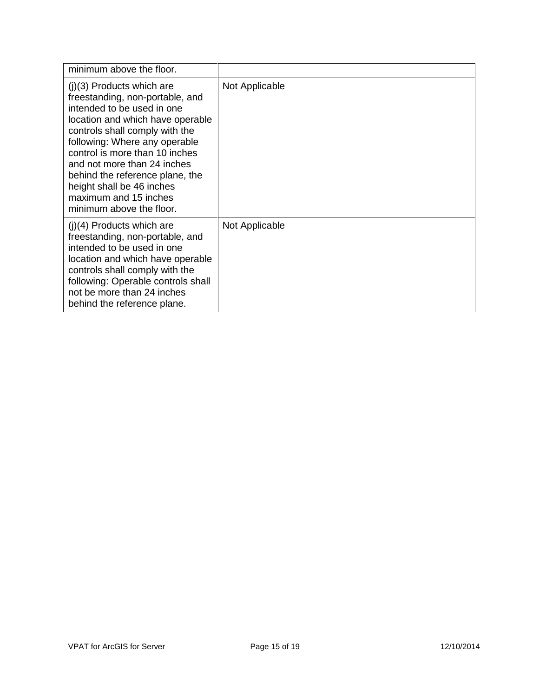| minimum above the floor.                                                                                                                                                                                                                                                                                                                                                                  |                |  |
|-------------------------------------------------------------------------------------------------------------------------------------------------------------------------------------------------------------------------------------------------------------------------------------------------------------------------------------------------------------------------------------------|----------------|--|
| $(j)(3)$ Products which are<br>freestanding, non-portable, and<br>intended to be used in one<br>location and which have operable<br>controls shall comply with the<br>following: Where any operable<br>control is more than 10 inches<br>and not more than 24 inches<br>behind the reference plane, the<br>height shall be 46 inches<br>maximum and 15 inches<br>minimum above the floor. | Not Applicable |  |
| $(i)(4)$ Products which are<br>freestanding, non-portable, and<br>intended to be used in one<br>location and which have operable<br>controls shall comply with the<br>following: Operable controls shall<br>not be more than 24 inches<br>behind the reference plane.                                                                                                                     | Not Applicable |  |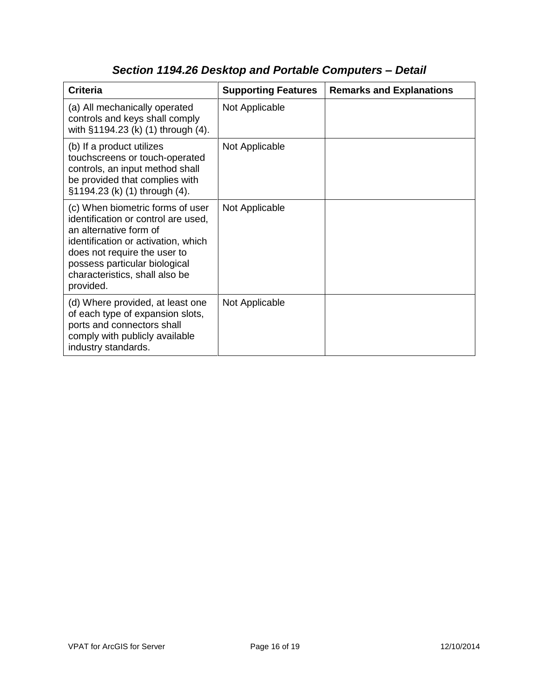| <b>Criteria</b>                                                                                                                                                                                                                                          | <b>Supporting Features</b> | <b>Remarks and Explanations</b> |
|----------------------------------------------------------------------------------------------------------------------------------------------------------------------------------------------------------------------------------------------------------|----------------------------|---------------------------------|
| (a) All mechanically operated<br>controls and keys shall comply<br>with §1194.23 (k) (1) through (4).                                                                                                                                                    | Not Applicable             |                                 |
| (b) If a product utilizes<br>touchscreens or touch-operated<br>controls, an input method shall<br>be provided that complies with<br>§1194.23 (k) (1) through (4).                                                                                        | Not Applicable             |                                 |
| (c) When biometric forms of user<br>identification or control are used,<br>an alternative form of<br>identification or activation, which<br>does not require the user to<br>possess particular biological<br>characteristics, shall also be<br>provided. | Not Applicable             |                                 |
| (d) Where provided, at least one<br>of each type of expansion slots,<br>ports and connectors shall<br>comply with publicly available<br>industry standards.                                                                                              | Not Applicable             |                                 |

# *Section 1194.26 Desktop and Portable Computers – Detail*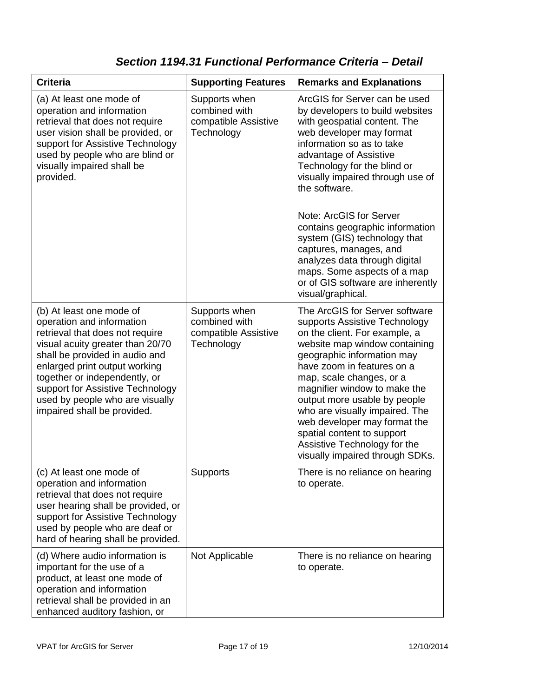### *Section 1194.31 Functional Performance Criteria – Detail*

| <b>Criteria</b>                                                                                                                                                                                                                                                                                                                        | <b>Supporting Features</b>                                           | <b>Remarks and Explanations</b>                                                                                                                                                                                                                                                                                                                                                                                                                                                                                           |
|----------------------------------------------------------------------------------------------------------------------------------------------------------------------------------------------------------------------------------------------------------------------------------------------------------------------------------------|----------------------------------------------------------------------|---------------------------------------------------------------------------------------------------------------------------------------------------------------------------------------------------------------------------------------------------------------------------------------------------------------------------------------------------------------------------------------------------------------------------------------------------------------------------------------------------------------------------|
| (a) At least one mode of<br>operation and information<br>retrieval that does not require<br>user vision shall be provided, or<br>support for Assistive Technology<br>used by people who are blind or<br>visually impaired shall be<br>provided.                                                                                        | Supports when<br>combined with<br>compatible Assistive<br>Technology | ArcGIS for Server can be used<br>by developers to build websites<br>with geospatial content. The<br>web developer may format<br>information so as to take<br>advantage of Assistive<br>Technology for the blind or<br>visually impaired through use of<br>the software.<br>Note: ArcGIS for Server<br>contains geographic information<br>system (GIS) technology that<br>captures, manages, and<br>analyzes data through digital<br>maps. Some aspects of a map<br>or of GIS software are inherently<br>visual/graphical. |
| (b) At least one mode of<br>operation and information<br>retrieval that does not require<br>visual acuity greater than 20/70<br>shall be provided in audio and<br>enlarged print output working<br>together or independently, or<br>support for Assistive Technology<br>used by people who are visually<br>impaired shall be provided. | Supports when<br>combined with<br>compatible Assistive<br>Technology | The ArcGIS for Server software<br>supports Assistive Technology<br>on the client. For example, a<br>website map window containing<br>geographic information may<br>have zoom in features on a<br>map, scale changes, or a<br>magnifier window to make the<br>output more usable by people<br>who are visually impaired. The<br>web developer may format the<br>spatial content to support<br>Assistive Technology for the<br>visually impaired through SDKs.                                                              |
| (c) At least one mode of<br>operation and information<br>retrieval that does not require<br>user hearing shall be provided, or<br>support for Assistive Technology<br>used by people who are deaf or<br>hard of hearing shall be provided.                                                                                             | <b>Supports</b>                                                      | There is no reliance on hearing<br>to operate.                                                                                                                                                                                                                                                                                                                                                                                                                                                                            |
| (d) Where audio information is<br>important for the use of a<br>product, at least one mode of<br>operation and information<br>retrieval shall be provided in an<br>enhanced auditory fashion, or                                                                                                                                       | Not Applicable                                                       | There is no reliance on hearing<br>to operate.                                                                                                                                                                                                                                                                                                                                                                                                                                                                            |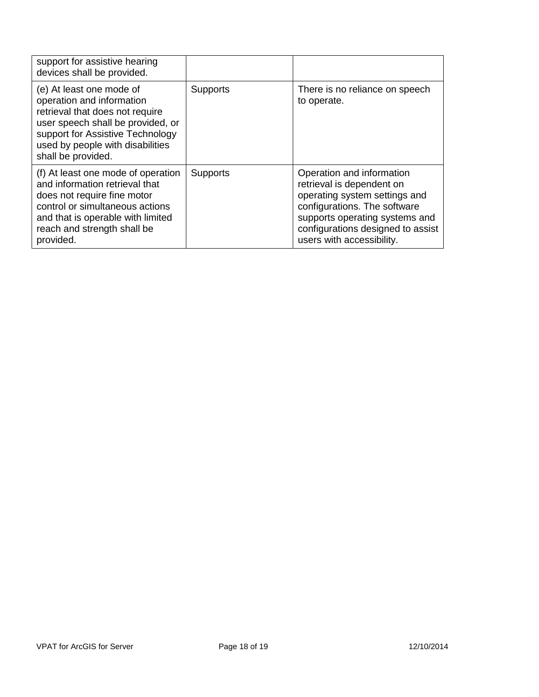| support for assistive hearing<br>devices shall be provided.                                                                                                                                                                 |                 |                                                                                                                                                                                                                             |
|-----------------------------------------------------------------------------------------------------------------------------------------------------------------------------------------------------------------------------|-----------------|-----------------------------------------------------------------------------------------------------------------------------------------------------------------------------------------------------------------------------|
| (e) At least one mode of<br>operation and information<br>retrieval that does not require<br>user speech shall be provided, or<br>support for Assistive Technology<br>used by people with disabilities<br>shall be provided. | <b>Supports</b> | There is no reliance on speech<br>to operate.                                                                                                                                                                               |
| (f) At least one mode of operation<br>and information retrieval that<br>does not require fine motor<br>control or simultaneous actions<br>and that is operable with limited<br>reach and strength shall be<br>provided.     | <b>Supports</b> | Operation and information<br>retrieval is dependent on<br>operating system settings and<br>configurations. The software<br>supports operating systems and<br>configurations designed to assist<br>users with accessibility. |